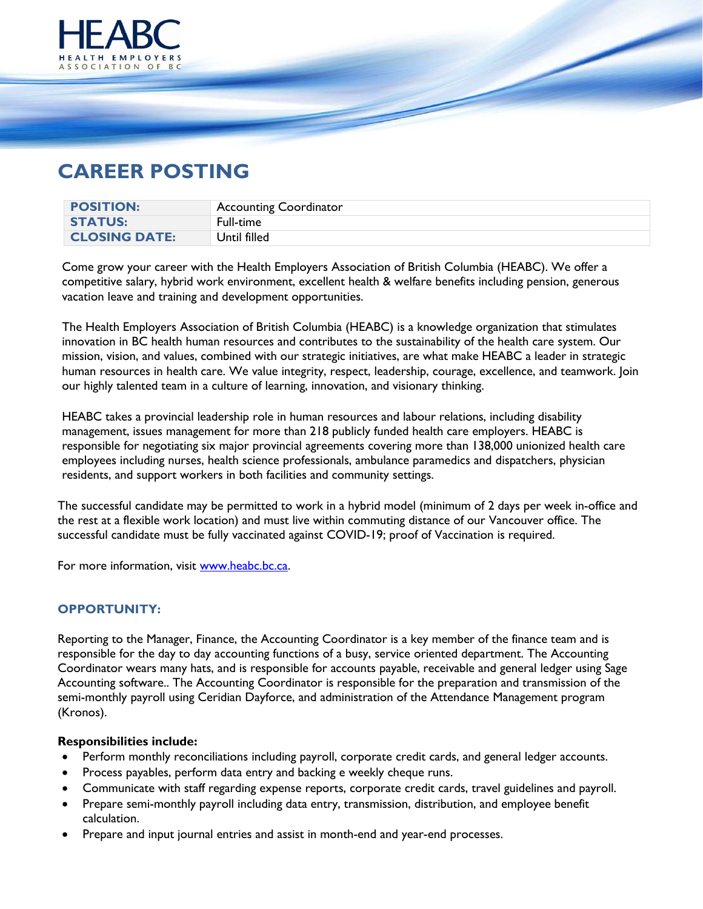

# **CAREER POSTING**

| <b>POSITION:</b>     | <b>Accounting Coordinator</b> |
|----------------------|-------------------------------|
| <b>STATUS:</b>       | Full-time                     |
| <b>CLOSING DATE:</b> | Until filled                  |

Come grow your career with the Health Employers Association of British Columbia (HEABC). We offer a competitive salary, hybrid work environment, excellent health & welfare benefits including pension, generous vacation leave and training and development opportunities.

The Health Employers Association of British Columbia (HEABC) is a knowledge organization that stimulates innovation in BC health human resources and contributes to the sustainability of the health care system. Our mission, vision, and values, combined with our strategic initiatives, are what make HEABC a leader in strategic human resources in health care. We value integrity, respect, leadership, courage, excellence, and teamwork. Join our highly talented team in a culture of learning, innovation, and visionary thinking.

HEABC takes a provincial leadership role in human resources and labour relations, including disability management, issues management for more than 218 publicly funded health care employers. HEABC is responsible for negotiating six major provincial agreements covering more than 138,000 unionized health care employees including nurses, health science professionals, ambulance paramedics and dispatchers, physician residents, and support workers in both facilities and community settings.

The successful candidate may be permitted to work in a hybrid model (minimum of 2 days per week in-office and the rest at a flexible work location) and must live within commuting distance of our Vancouver office. The successful candidate must be fully vaccinated against COVID-19; proof of Vaccination is required.

For more information, visit [www.heabc.bc.ca.](http://www.heabc.bc.ca/)

# **OPPORTUNITY:**

Reporting to the Manager, Finance, the Accounting Coordinator is a key member of the finance team and is responsible for the day to day accounting functions of a busy, service oriented department. The Accounting Coordinator wears many hats, and is responsible for accounts payable, receivable and general ledger using Sage Accounting software.. The Accounting Coordinator is responsible for the preparation and transmission of the semi-monthly payroll using Ceridian Dayforce, and administration of the Attendance Management program (Kronos).

#### **Responsibilities include:**

- Perform monthly reconciliations including payroll, corporate credit cards, and general ledger accounts.
- Process payables, perform data entry and backing e weekly cheque runs.
- Communicate with staff regarding expense reports, corporate credit cards, travel guidelines and payroll.
- Prepare semi-monthly payroll including data entry, transmission, distribution, and employee benefit calculation.
- Prepare and input journal entries and assist in month-end and year-end processes.